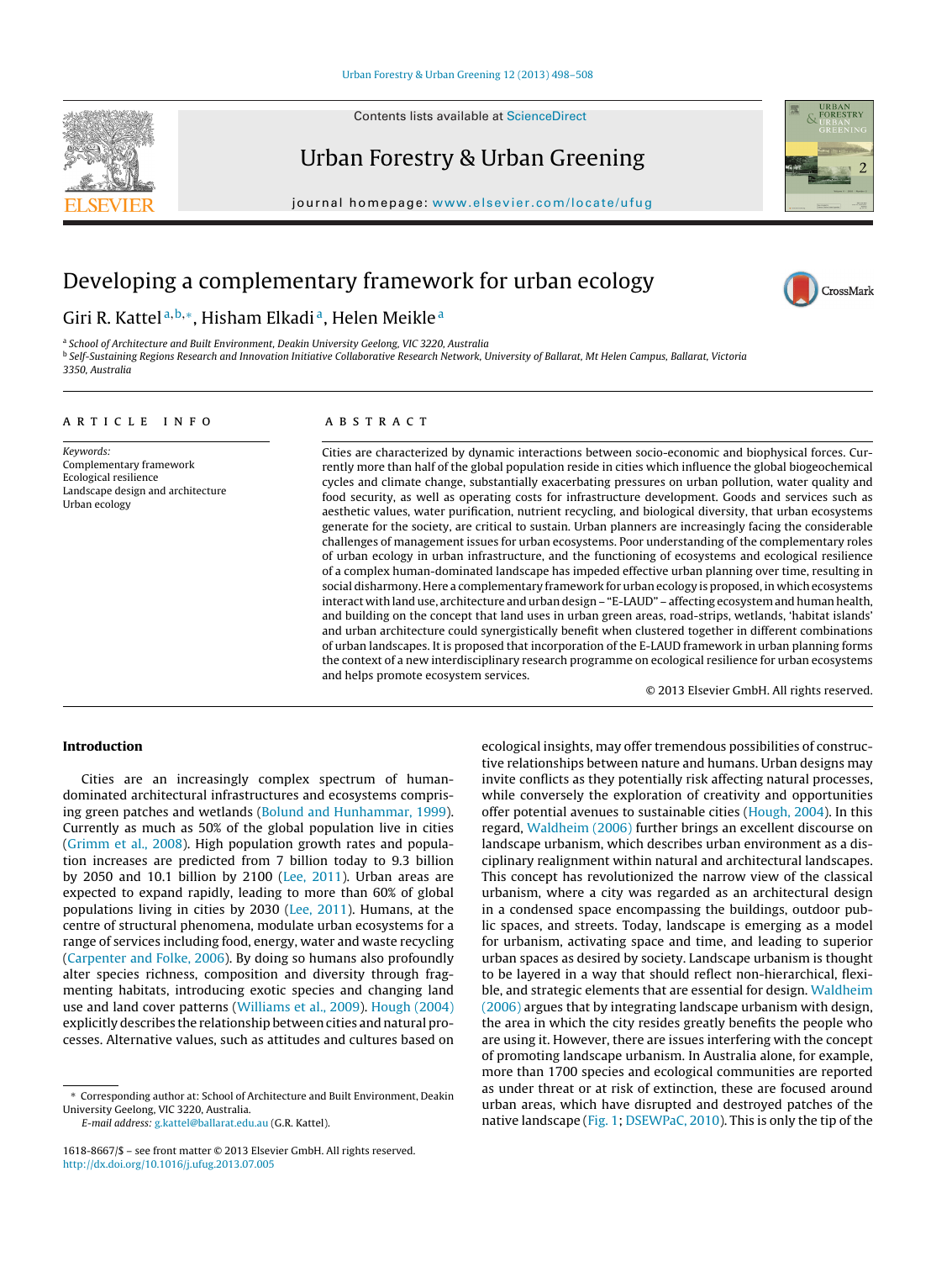Contents lists available at [ScienceDirect](http://www.sciencedirect.com/science/journal/16188667)

# Urban Forestry & Urban Greening

journal homepage: [www.elsevier.com/locate/ufug](http://www.elsevier.com/locate/ufug)

# Developing a complementary framework for urban ecology

## Giri R. Kattel<sup>a, b,</sup>\*, Hisham Elkadi<sup>a</sup>, Helen Meikle<sup>a</sup>

<sup>a</sup> School of Architecture and Built Environment, Deakin University Geelong, VIC 3220, Australia **b Self-Sustaining Regions Research and Innovation Initiative Collaborative Research Network, University of Ballarat, Mt Helen Campus, Ballarat, Victoria** 3350, Australia

#### article info

## **ABSTRACT**

Keywords: Complementary framework Ecological resilience Landscape design and architecture Urban ecology

Cities are characterized by dynamic interactions between socio-economic and biophysical forces. Currently more than half of the global population reside in cities which influence the global biogeochemical cycles and climate change, substantially exacerbating pressures on urban pollution, water quality and food security, as well as operating costs for infrastructure development. Goods and services such as aesthetic values, water purification, nutrient recycling, and biological diversity, that urban ecosystems generate for the society, are critical to sustain. Urban planners are increasingly facing the considerable challenges of management issues for urban ecosystems. Poor understanding of the complementary roles of urban ecology in urban infrastructure, and the functioning of ecosystems and ecological resilience of a complex human-dominated landscape has impeded effective urban planning over time, resulting in social disharmony. Here a complementary framework for urban ecology is proposed, in which ecosystems interact with land use, architecture and urban design – "E-LAUD" – affecting ecosystem and human health, and building on the concept that land uses in urban green areas, road-strips, wetlands, 'habitat islands' and urban architecture could synergistically benefit when clustered together in different combinations of urban landscapes. It is proposed that incorporation of the E-LAUD framework in urban planning forms the context of a new interdisciplinary research programme on ecological resilience for urban ecosystems and helps promote ecosystem services.

© 2013 Elsevier GmbH. All rights reserved.

### **Introduction**

Cities are an increasingly complex spectrum of humandominated architectural infrastructures and ecosystems comprising green patches and wetlands ([Bolund and Hunhammar, 1999\).](#page--1-0) Currently as much as 50% of the global population live in cities ([Grimm et al., 2008\).](#page--1-0) High population growth rates and population increases are predicted from 7 billion today to 9.3 billion by 2050 and 10.1 billion by 2100 ([Lee, 2011\).](#page--1-0) Urban areas are expected to expand rapidly, leading to more than 60% of global populations living in cities by 2030 ([Lee, 2011\).](#page--1-0) Humans, at the centre of structural phenomena, modulate urban ecosystems for a range of services including food, energy, water and waste recycling ([Carpenter and Folke, 2006\).](#page--1-0) By doing so humans also profoundly alter species richness, composition and diversity through fragmenting habitats, introducing exotic species and changing land use and land cover patterns [\(Williams et al., 2009\).](#page--1-0) [Hough \(2004\)](#page--1-0) explicitly describes the relationship between cities and natural processes. Alternative values, such as attitudes and cultures based on

E-mail address: [g.kattel@ballarat.edu.au](mailto:g.kattel@ballarat.edu.au) (G.R. Kattel).

ecological insights, may offer tremendous possibilities of constructive relationships between nature and humans. Urban designs may invite conflicts as they potentially risk affecting natural processes, while conversely the exploration of creativity and opportunities offer potential avenues to sustainable cities ([Hough, 2004\).](#page--1-0) In this regard, [Waldheim \(2006\)](#page--1-0) further brings an excellent discourse on landscape urbanism, which describes urban environment as a disciplinary realignment within natural and architectural landscapes. This concept has revolutionized the narrow view of the classical urbanism, where a city was regarded as an architectural design in a condensed space encompassing the buildings, outdoor public spaces, and streets. Today, landscape is emerging as a model for urbanism, activating space and time, and leading to superior urban spaces as desired by society. Landscape urbanism is thought to be layered in a way that should reflect non-hierarchical, flexible, and strategic elements that are essential for design. [Waldheim](#page--1-0) [\(2006\)](#page--1-0) argues that by integrating landscape urbanism with design, the area in which the city resides greatly benefits the people who are using it. However, there are issues interfering with the concept of promoting landscape urbanism. In Australia alone, for example, more than 1700 species and ecological communities are reported as under threat or at risk of extinction, these are focused around urban areas, which have disrupted and destroyed patches of the native landscape ([Fig. 1;](#page-1-0) [DSEWPaC, 2010\).](#page--1-0) This is only the tip of the



CrossMark

<sup>∗</sup> Corresponding author at: School of Architecture and Built Environment, Deakin University Geelong, VIC 3220, Australia.

<sup>1618-8667/\$ –</sup> see front matter © 2013 Elsevier GmbH. All rights reserved. [http://dx.doi.org/10.1016/j.ufug.2013.07.005](dx.doi.org/10.1016/j.ufug.2013.07.005)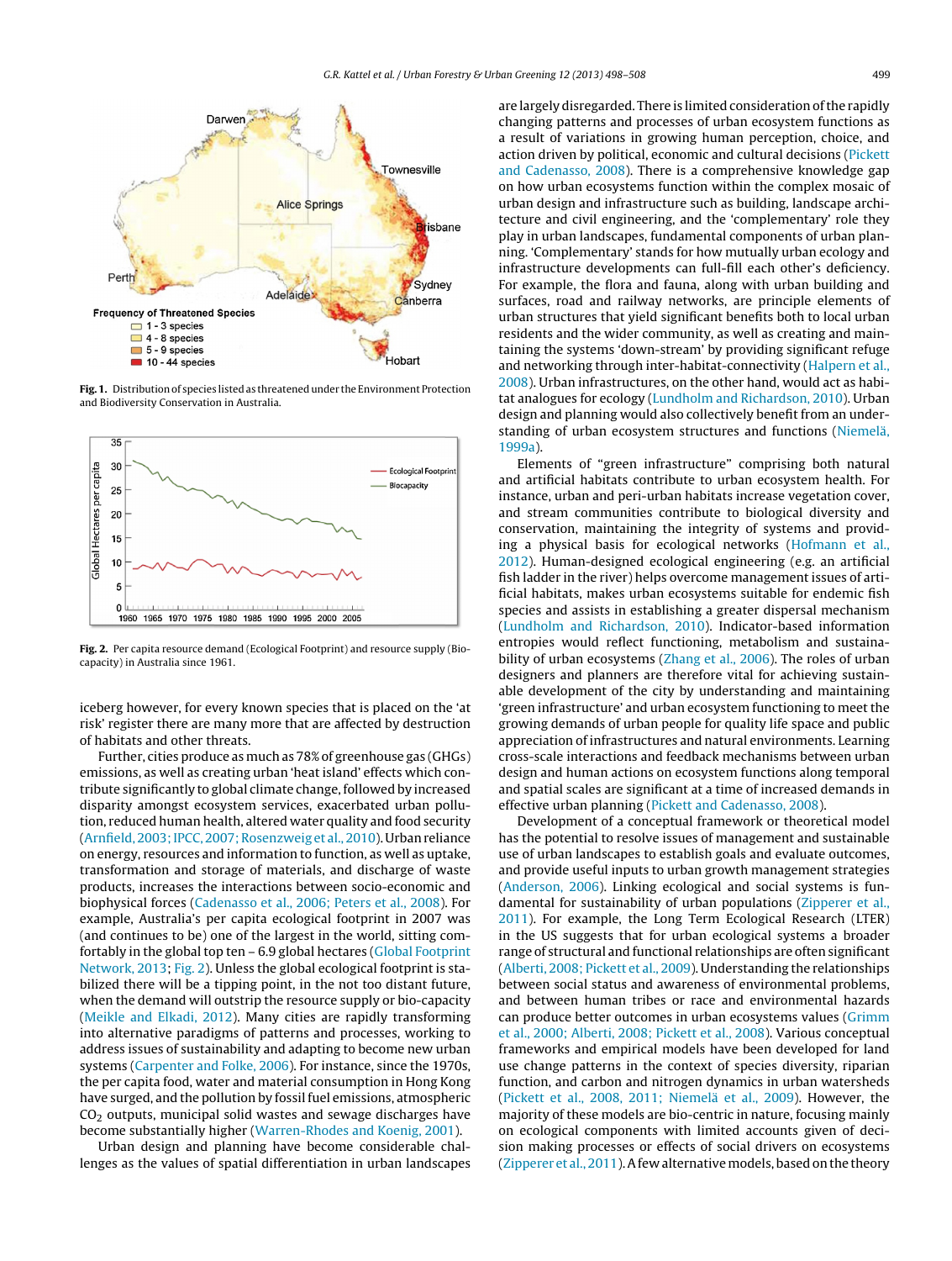<span id="page-1-0"></span>

**Fig. 1.** Distribution of species listed as threatened under the Environment Protection and Biodiversity Conservation in Australia.



**Fig. 2.** Per capita resource demand (Ecological Footprint) and resource supply (Biocapacity) in Australia since 1961.

iceberg however, for every known species that is placed on the 'at risk' register there are many more that are affected by destruction of habitats and other threats.

Further, cities produce as much as 78% of greenhouse gas (GHGs) emissions, as well as creating urban 'heat island' effects which contribute significantly to global climate change, followed by increased disparity amongst ecosystem services, exacerbated urban pollution, reduced human health, altered water quality and food security ([Arnfield, 2003; IPCC, 2007; Rosenzweig et al., 2010\).](#page--1-0) Urban reliance on energy, resources and information to function, as well as uptake, transformation and storage of materials, and discharge of waste products, increases the interactions between socio-economic and biophysical forces ([Cadenasso et al., 2006; Peters et al., 2008\).](#page--1-0) For example, Australia's per capita ecological footprint in 2007 was (and continues to be) one of the largest in the world, sitting comfortably in the global top ten – 6.9 global hectares [\(Global Footprint](#page--1-0) [Network, 2013;](#page--1-0) Fig. 2). Unless the global ecological footprint is stabilized there will be a tipping point, in the not too distant future, when the demand will outstrip the resource supply or bio-capacity ([Meikle and Elkadi, 2012\).](#page--1-0) Many cities are rapidly transforming into alternative paradigms of patterns and processes, working to address issues of sustainability and adapting to become new urban systems [\(Carpenter and Folke, 2006\).](#page--1-0) For instance, since the 1970s, the per capita food, water and material consumption in Hong Kong have surged, and the pollution by fossil fuel emissions, atmospheric  $CO<sub>2</sub>$  outputs, municipal solid wastes and sewage discharges have become substantially higher ([Warren-Rhodes and Koenig, 2001\).](#page--1-0)

Urban design and planning have become considerable challenges as the values of spatial differentiation in urban landscapes are largely disregarded. There is limited consideration of the rapidly changing patterns and processes of urban ecosystem functions as a result of variations in growing human perception, choice, and action driven by political, economic and cultural decisions [\(Pickett](#page--1-0) [and Cadenasso, 2008\).](#page--1-0) There is a comprehensive knowledge gap on how urban ecosystems function within the complex mosaic of urban design and infrastructure such as building, landscape architecture and civil engineering, and the 'complementary' role they play in urban landscapes, fundamental components of urban planning. 'Complementary' stands for how mutually urban ecology and infrastructure developments can full-fill each other's deficiency. For example, the flora and fauna, along with urban building and surfaces, road and railway networks, are principle elements of urban structures that yield significant benefits both to local urban residents and the wider community, as well as creating and maintaining the systems 'down-stream' by providing significant refuge and networking through inter-habitat-connectivity [\(Halpern et al.,](#page--1-0) [2008\).](#page--1-0) Urban infrastructures, on the other hand, would act as habitat analogues for ecology [\(Lundholm and Richardson, 2010\).](#page--1-0) Urban design and planning would also collectively benefit from an understanding of urban ecosystem structures and functions [\(Niemelä,](#page--1-0) [1999a\).](#page--1-0)

Elements of "green infrastructure" comprising both natural and artificial habitats contribute to urban ecosystem health. For instance, urban and peri-urban habitats increase vegetation cover, and stream communities contribute to biological diversity and conservation, maintaining the integrity of systems and providing a physical basis for ecological networks [\(Hofmann et al.,](#page--1-0) [2012\).](#page--1-0) Human-designed ecological engineering (e.g. an artificial fish ladder in the river) helps overcome management issues of artificial habitats, makes urban ecosystems suitable for endemic fish species and assists in establishing a greater dispersal mechanism [\(Lundholm and Richardson, 2010\).](#page--1-0) Indicator-based information entropies would reflect functioning, metabolism and sustainability of urban ecosystems ([Zhang et al., 2006\).](#page--1-0) The roles of urban designers and planners are therefore vital for achieving sustainable development of the city by understanding and maintaining 'green infrastructure' and urban ecosystem functioning to meet the growing demands of urban people for quality life space and public appreciation of infrastructures and natural environments. Learning cross-scale interactions and feedback mechanisms between urban design and human actions on ecosystem functions along temporal and spatial scales are significant at a time of increased demands in effective urban planning [\(Pickett and Cadenasso, 2008\).](#page--1-0)

Development of a conceptual framework or theoretical model has the potential to resolve issues of management and sustainable use of urban landscapes to establish goals and evaluate outcomes, and provide useful inputs to urban growth management strategies [\(Anderson, 2006\).](#page--1-0) Linking ecological and social systems is fundamental for sustainability of urban populations [\(Zipperer et al.,](#page--1-0) [2011\).](#page--1-0) For example, the Long Term Ecological Research (LTER) in the US suggests that for urban ecological systems a broader range of structural and functional relationships are often significant [\(Alberti, 2008; Pickett et al., 2009\).](#page--1-0) Understanding the relationships between social status and awareness of environmental problems, and between human tribes or race and environmental hazards can produce better outcomes in urban ecosystems values ([Grimm](#page--1-0) [et al., 2000; Alberti, 2008; Pickett et al., 2008\).](#page--1-0) Various conceptual frameworks and empirical models have been developed for land use change patterns in the context of species diversity, riparian function, and carbon and nitrogen dynamics in urban watersheds [\(Pickett et al., 2008, 2011; Niemelä et al., 2009\).](#page--1-0) However, the majority of these models are bio-centric in nature, focusing mainly on ecological components with limited accounts given of decision making processes or effects of social drivers on ecosystems [\(Zipperer et al., 2011\).](#page--1-0) A few alternative models, based on the theory